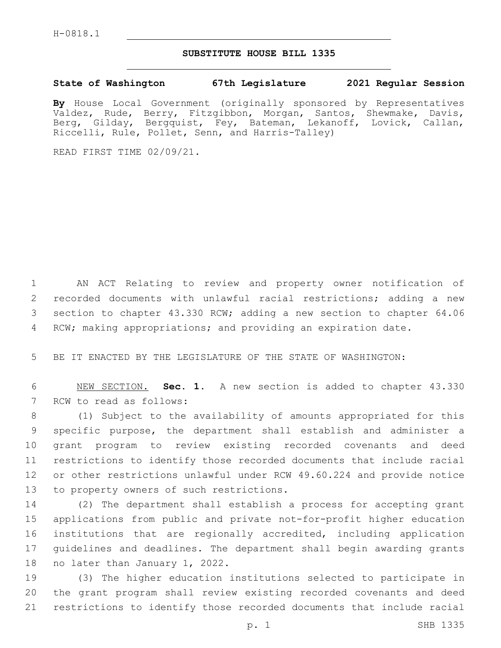## **SUBSTITUTE HOUSE BILL 1335**

## **State of Washington 67th Legislature 2021 Regular Session**

**By** House Local Government (originally sponsored by Representatives Valdez, Rude, Berry, Fitzgibbon, Morgan, Santos, Shewmake, Davis, Berg, Gilday, Bergquist, Fey, Bateman, Lekanoff, Lovick, Callan, Riccelli, Rule, Pollet, Senn, and Harris-Talley)

READ FIRST TIME 02/09/21.

 AN ACT Relating to review and property owner notification of recorded documents with unlawful racial restrictions; adding a new section to chapter 43.330 RCW; adding a new section to chapter 64.06 RCW; making appropriations; and providing an expiration date.

5 BE IT ENACTED BY THE LEGISLATURE OF THE STATE OF WASHINGTON:

6 NEW SECTION. **Sec. 1.** A new section is added to chapter 43.330 7 RCW to read as follows:

 (1) Subject to the availability of amounts appropriated for this specific purpose, the department shall establish and administer a grant program to review existing recorded covenants and deed restrictions to identify those recorded documents that include racial or other restrictions unlawful under RCW 49.60.224 and provide notice 13 to property owners of such restrictions.

 (2) The department shall establish a process for accepting grant applications from public and private not-for-profit higher education institutions that are regionally accredited, including application guidelines and deadlines. The department shall begin awarding grants 18 no later than January 1, 2022.

19 (3) The higher education institutions selected to participate in 20 the grant program shall review existing recorded covenants and deed 21 restrictions to identify those recorded documents that include racial